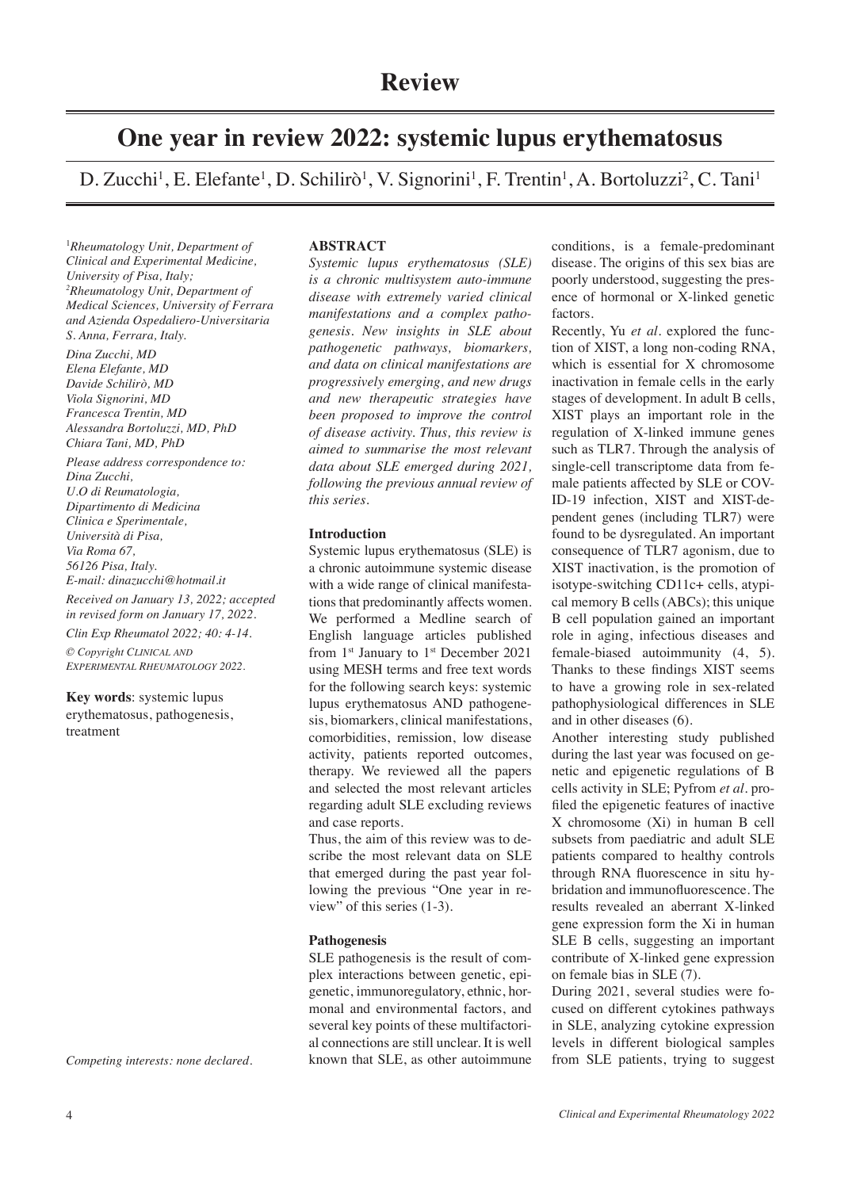# **One year in review 2022: systemic lupus erythematosus**

D. Zucchi<sup>1</sup>, E. Elefante<sup>1</sup>, D. Schilirò<sup>1</sup>, V. Signorini<sup>1</sup>, F. Trentin<sup>1</sup>, A. Bortoluzzi<sup>2</sup>, C. Tani<sup>1</sup>

1 *Rheumatology Unit, Department of Clinical and Experimental Medicine, University of Pisa, Italy; 2 Rheumatology Unit, Department of Medical Sciences, University of Ferrara and Azienda Ospedaliero-Universitaria S. Anna, Ferrara, Italy.*

*Dina Zucchi, MD Elena Elefante, MD Davide Schilirò, MD Viola Signorini, MD Francesca Trentin, MD Alessandra Bortoluzzi, MD, PhD Chiara Tani, MD, PhD Please address correspondence to: Dina Zucchi, U.O di Reumatologia, Dipartimento di Medicina Clinica e Sperimentale, Università di Pisa, Via Roma 67, 56126 Pisa, Italy. E-mail: dinazucchi@hotmail.it*

*Received on January 13, 2022; accepted in revised form on January 17, 2022.*

*Clin Exp Rheumatol 2022; 40: 4-14. © Copyright Clinical and*

*Experimental Rheumatology 2022.*

**Key words**: systemic lupus erythematosus, pathogenesis, treatment

*Competing interests: none declared.* 

# **ABSTRACT**

*Systemic lupus erythematosus (SLE) is a chronic multisystem auto-immune disease with extremely varied clinical manifestations and a complex pathogenesis. New insights in SLE about pathogenetic pathways, biomarkers, and data on clinical manifestations are progressively emerging, and new drugs and new therapeutic strategies have been proposed to improve the control of disease activity. Thus, this review is aimed to summarise the most relevant data about SLE emerged during 2021, following the previous annual review of this series.*

## **Introduction**

Systemic lupus erythematosus (SLE) is a chronic autoimmune systemic disease with a wide range of clinical manifestations that predominantly affects women. We performed a Medline search of English language articles published from  $1<sup>st</sup>$  January to  $1<sup>st</sup>$  December 2021 using MESH terms and free text words for the following search keys: systemic lupus erythematosus AND pathogenesis, biomarkers, clinical manifestations, comorbidities, remission, low disease activity, patients reported outcomes, therapy. We reviewed all the papers and selected the most relevant articles regarding adult SLE excluding reviews and case reports.

Thus, the aim of this review was to describe the most relevant data on SLE that emerged during the past year following the previous "One year in review" of this series (1-3).

## **Pathogenesis**

SLE pathogenesis is the result of complex interactions between genetic, epigenetic, immunoregulatory, ethnic, hormonal and environmental factors, and several key points of these multifactorial connections are still unclear. It is well known that SLE, as other autoimmune conditions, is a female-predominant disease. The origins of this sex bias are poorly understood, suggesting the presence of hormonal or X-linked genetic factors.

Recently, Yu *et al.* explored the function of XIST, a long non-coding RNA, which is essential for X chromosome inactivation in female cells in the early stages of development. In adult B cells, XIST plays an important role in the regulation of X-linked immune genes such as TLR7. Through the analysis of single-cell transcriptome data from female patients affected by SLE or COV-ID-19 infection, XIST and XIST-dependent genes (including TLR7) were found to be dysregulated. An important consequence of TLR7 agonism, due to XIST inactivation, is the promotion of isotype-switching CD11c+ cells, atypical memory B cells (ABCs); this unique B cell population gained an important role in aging, infectious diseases and female-biased autoimmunity (4, 5). Thanks to these findings XIST seems to have a growing role in sex-related pathophysiological differences in SLE and in other diseases (6).

Another interesting study published during the last year was focused on genetic and epigenetic regulations of B cells activity in SLE; Pyfrom *et al*. profiled the epigenetic features of inactive X chromosome (Xi) in human B cell subsets from paediatric and adult SLE patients compared to healthy controls through RNA fluorescence in situ hybridation and immunofluorescence. The results revealed an aberrant X-linked gene expression form the Xi in human SLE B cells, suggesting an important contribute of X-linked gene expression on female bias in SLE (7).

During 2021, several studies were focused on different cytokines pathways in SLE, analyzing cytokine expression levels in different biological samples from SLE patients, trying to suggest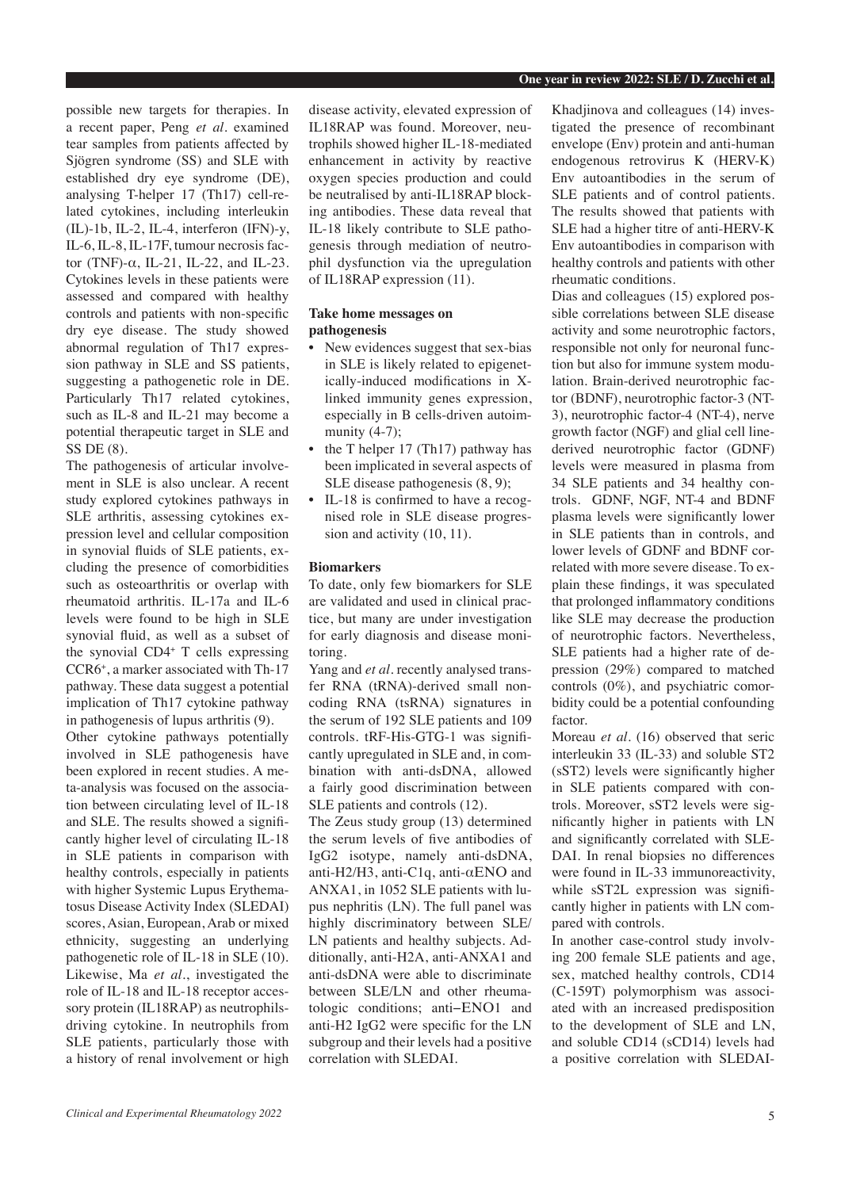possible new targets for therapies. In a recent paper, Peng *et al*. examined tear samples from patients affected by Sjögren syndrome (SS) and SLE with established dry eye syndrome (DE), analysing T-helper 17 (Th17) cell-related cytokines, including interleukin (IL)-1b, IL-2, IL-4, interferon (IFN)-y, IL-6, IL-8, IL-17F, tumour necrosis factor (TNF)-α, IL-21, IL-22, and IL-23. Cytokines levels in these patients were assessed and compared with healthy controls and patients with non-specific dry eye disease. The study showed abnormal regulation of Th17 expression pathway in SLE and SS patients, suggesting a pathogenetic role in DE. Particularly Th17 related cytokines, such as IL-8 and IL-21 may become a potential therapeutic target in SLE and SS DE (8).

The pathogenesis of articular involvement in SLE is also unclear. A recent study explored cytokines pathways in SLE arthritis, assessing cytokines expression level and cellular composition in synovial fluids of SLE patients, excluding the presence of comorbidities such as osteoarthritis or overlap with rheumatoid arthritis. IL-17a and IL-6 levels were found to be high in SLE synovial fluid, as well as a subset of the synovial CD4+ T cells expressing CCR6+, a marker associated with Th-17 pathway. These data suggest a potential implication of Th17 cytokine pathway in pathogenesis of lupus arthritis (9).

Other cytokine pathways potentially involved in SLE pathogenesis have been explored in recent studies. A meta-analysis was focused on the association between circulating level of IL-18 and SLE. The results showed a significantly higher level of circulating IL-18 in SLE patients in comparison with healthy controls, especially in patients with higher Systemic Lupus Erythematosus Disease Activity Index (SLEDAI) scores, Asian, European, Arab or mixed ethnicity, suggesting an underlying pathogenetic role of IL-18 in SLE (10). Likewise, Ma *et al*., investigated the role of IL-18 and IL-18 receptor accessory protein (IL18RAP) as neutrophilsdriving cytokine. In neutrophils from SLE patients, particularly those with a history of renal involvement or high

disease activity, elevated expression of IL18RAP was found. Moreover, neutrophils showed higher IL-18-mediated enhancement in activity by reactive oxygen species production and could be neutralised by anti-IL18RAP blocking antibodies. These data reveal that IL-18 likely contribute to SLE pathogenesis through mediation of neutrophil dysfunction via the upregulation of IL18RAP expression (11).

# **Take home messages on pathogenesis**

- New evidences suggest that sex-bias in SLE is likely related to epigenetically-induced modifications in Xlinked immunity genes expression, especially in B cells-driven autoimmunity  $(4-7)$ ;
- the T helper  $17$  (Th $17$ ) pathway has been implicated in several aspects of SLE disease pathogenesis (8, 9);
- IL-18 is confirmed to have a recognised role in SLE disease progression and activity (10, 11).

# **Biomarkers**

To date, only few biomarkers for SLE are validated and used in clinical practice, but many are under investigation for early diagnosis and disease monitoring.

Yang and  $et$  al. recently analysed transfer RNA (tRNA)-derived small noncoding RNA (tsRNA) signatures in the serum of 192 SLE patients and 109 controls. tRF-His-GTG-1 was significantly upregulated in SLE and, in combination with anti-dsDNA, allowed a fairly good discrimination between SLE patients and controls (12).

The Zeus study group (13) determined the serum levels of five antibodies of IgG2 isotype, namely anti-dsDNA, anti-H2/H3, anti-C1q, anti-αΕΝΟ and ANXA1, in 1052 SLE patients with lupus nephritis (LN). The full panel was highly discriminatory between SLE/ LN patients and healthy subjects. Additionally, anti-H2A, anti-ANXA1 and anti-dsDNA were able to discriminate between SLE/LN and other rheumatologic conditions; anti−ΕΝΟ1 and anti-H2 IgG2 were specific for the LN subgroup and their levels had a positive correlation with SLEDAI.

Khadjinova and colleagues (14) investigated the presence of recombinant envelope (Env) protein and anti-human endogenous retrovirus K (HERV-K) Env autoantibodies in the serum of SLE patients and of control patients. The results showed that patients with SLE had a higher titre of anti-HERV-K Env autoantibodies in comparison with healthy controls and patients with other rheumatic conditions.

Dias and colleagues (15) explored possible correlations between SLE disease activity and some neurotrophic factors, responsible not only for neuronal function but also for immune system modulation. Brain-derived neurotrophic factor (BDNF), neurotrophic factor-3 (NT-3), neurotrophic factor-4 (NT-4), nerve growth factor (NGF) and glial cell linederived neurotrophic factor (GDNF) levels were measured in plasma from 34 SLE patients and 34 healthy controls. GDNF, NGF, NT-4 and BDNF plasma levels were significantly lower in SLE patients than in controls, and lower levels of GDNF and BDNF correlated with more severe disease. To explain these findings, it was speculated that prolonged inflammatory conditions like SLE may decrease the production of neurotrophic factors. Nevertheless, SLE patients had a higher rate of depression (29%) compared to matched controls (0%), and psychiatric comorbidity could be a potential confounding factor.

Moreau *et al*. (16) observed that seric interleukin 33 (IL-33) and soluble ST2 (sST2) levels were significantly higher in SLE patients compared with controls. Moreover, sST2 levels were significantly higher in patients with LN and significantly correlated with SLE-DAI. In renal biopsies no differences were found in IL-33 immunoreactivity, while sST2L expression was significantly higher in patients with LN compared with controls.

In another case-control study involving 200 female SLE patients and age, sex, matched healthy controls, CD14 (C-159T) polymorphism was associated with an increased predisposition to the development of SLE and LN, and soluble CD14 (sCD14) levels had a positive correlation with SLEDAI-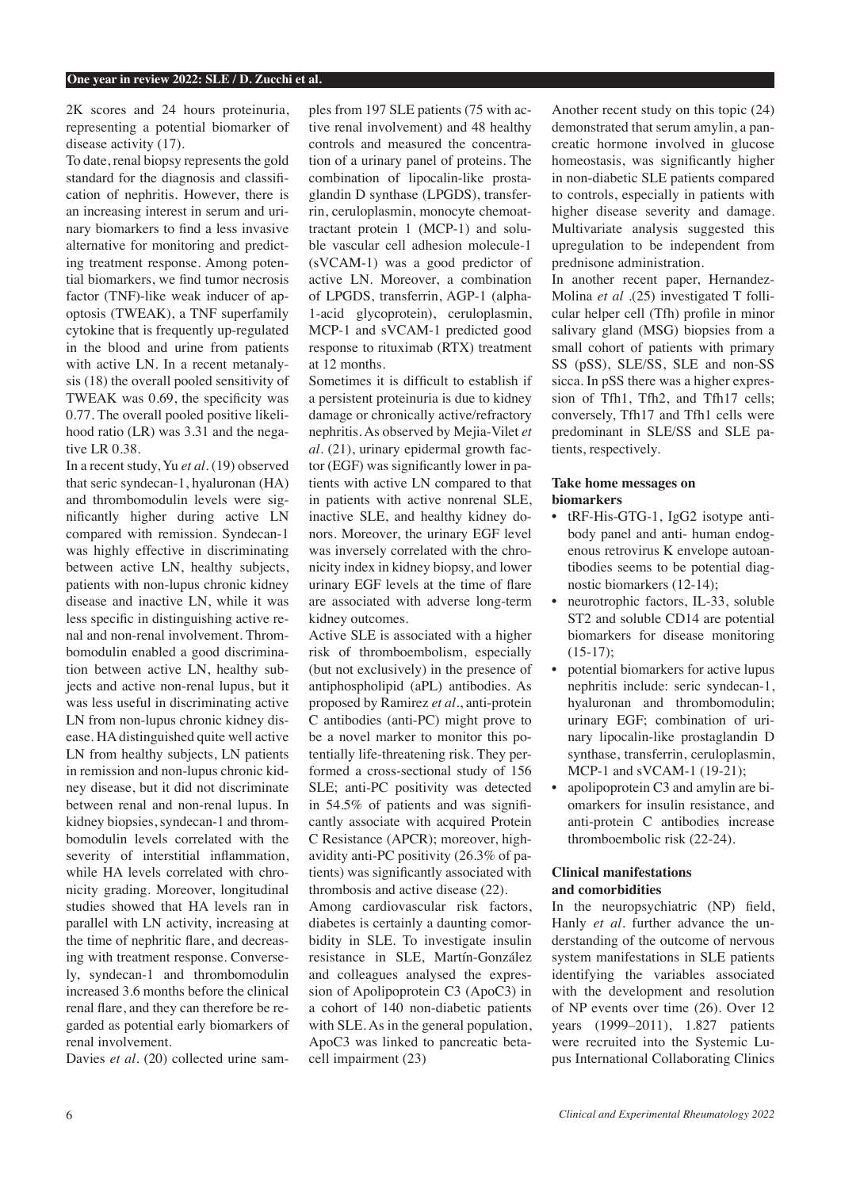2K scores and 24 hours proteinuria, representing a potential biomarker of disease activity (17).

To date, renal biopsy represents the gold standard for the diagnosis and classification of nephritis. However, there is an increasing interest in serum and urinary biomarkers to find a less invasive alternative for monitoring and predicting treatment response. Among potential biomarkers, we find tumor necrosis factor (TNF)-like weak inducer of apoptosis (TWEAK), a TNF superfamily cytokine that is frequently up-regulated in the blood and urine from patients with active LN. In a recent metanalysis (18) the overall pooled sensitivity of TWEAK was 0.69, the specificity was 0.77. The overall pooled positive likelihood ratio (LR) was 3.31 and the negative LR 0.38.

In a recent study, Yu *et al.* (19) observed that seric syndecan-1, hyaluronan (HA) and thrombomodulin levels were significantly higher during active LN compared with remission. Syndecan-1 was highly effective in discriminating between active LN, healthy subjects, patients with non-lupus chronic kidney disease and inactive LN, while it was less specific in distinguishing active renal and non-renal involvement. Thrombomodulin enabled a good discrimination between active LN, healthy subjects and active non-renal lupus, but it was less useful in discriminating active LN from non-lupus chronic kidney disease. HA distinguished quite well active LN from healthy subjects, LN patients in remission and non-lupus chronic kidney disease, but it did not discriminate between renal and non-renal lupus. In kidney biopsies, syndecan-1 and thrombomodulin levels correlated with the severity of interstitial inflammation, while HA levels correlated with chronicity grading. Moreover, longitudinal studies showed that HA levels ran in parallel with LN activity, increasing at the time of nephritic flare, and decreasing with treatment response. Conversely, syndecan-1 and thrombomodulin increased 3.6 months before the clinical renal flare, and they can therefore be regarded as potential early biomarkers of renal involvement.

Davies *et al.* (20) collected urine sam-

ples from 197 SLE patients (75 with active renal involvement) and 48 healthy controls and measured the concentration of a urinary panel of proteins. The combination of lipocalin-like prostaglandin D synthase (LPGDS), transferrin, ceruloplasmin, monocyte chemoattractant protein 1 (MCP-1) and soluble vascular cell adhesion molecule-1 (sVCAM-1) was a good predictor of active LN. Moreover, a combination of LPGDS, transferrin, AGP-1 (alpha-1-acid glycoprotein), ceruloplasmin, MCP-1 and sVCAM-1 predicted good response to rituximab (RTX) treatment at 12 months.

Sometimes it is difficult to establish if a persistent proteinuria is due to kidney damage or chronically active/refractory nephritis. As observed by Mejia-Vilet *et al.* (21), urinary epidermal growth factor (EGF) was significantly lower in patients with active LN compared to that in patients with active nonrenal SLE, inactive SLE, and healthy kidney donors. Moreover, the urinary EGF level was inversely correlated with the chronicity index in kidney biopsy, and lower urinary EGF levels at the time of flare are associated with adverse long-term kidney outcomes.

Active SLE is associated with a higher risk of thromboembolism, especially (but not exclusively) in the presence of antiphospholipid (aPL) antibodies. As proposed by Ramirez *et al*., anti-protein C antibodies (anti-PC) might prove to be a novel marker to monitor this potentially life-threatening risk. They performed a cross-sectional study of 156 SLE; anti-PC positivity was detected in 54.5% of patients and was significantly associate with acquired Protein C Resistance (APCR); moreover, highavidity anti-PC positivity (26.3% of patients) was significantly associated with thrombosis and active disease (22).

Among cardiovascular risk factors, diabetes is certainly a daunting comorbidity in SLE. To investigate insulin resistance in SLE, Martín-González and colleagues analysed the expression of Apolipoprotein C3 (ApoC3) in a cohort of 140 non-diabetic patients with SLE. As in the general population, ApoC3 was linked to pancreatic betacell impairment (23)

Another recent study on this topic (24) demonstrated that serum amylin, a pancreatic hormone involved in glucose homeostasis, was significantly higher in non-diabetic SLE patients compared to controls, especially in patients with higher disease severity and damage. Multivariate analysis suggested this upregulation to be independent from prednisone administration.

In another recent paper, Hernandez-Molina *et al* .(25) investigated T follicular helper cell (Tfh) profile in minor salivary gland (MSG) biopsies from a small cohort of patients with primary SS (pSS), SLE/SS, SLE and non-SS sicca. In pSS there was a higher expression of Tfh1, Tfh2, and Tfh17 cells; conversely, Tfh17 and Tfh1 cells were predominant in SLE/SS and SLE patients, respectively.

#### **Take home messages on biomarkers**

- tRF-His-GTG-1, IgG2 isotype antibody panel and anti- human endogenous retrovirus K envelope autoantibodies seems to be potential diagnostic biomarkers (12-14);
- neurotrophic factors, IL-33, soluble ST2 and soluble CD14 are potential biomarkers for disease monitoring  $(15-17);$
- potential biomarkers for active lupus nephritis include: seric syndecan-1, hyaluronan and thrombomodulin; urinary EGF; combination of urinary lipocalin-like prostaglandin D synthase, transferrin, ceruloplasmin, MCP-1 and sVCAM-1 (19-21);
- apolipoprotein C3 and amylin are biomarkers for insulin resistance, and anti-protein C antibodies increase thromboembolic risk (22-24).

## **Clinical manifestations and comorbidities**

In the neuropsychiatric (NP) field, Hanly *et al.* further advance the understanding of the outcome of nervous system manifestations in SLE patients identifying the variables associated with the development and resolution of NP events over time (26). Over 12 years (1999–2011), 1.827 patients were recruited into the Systemic Lupus International Collaborating Clinics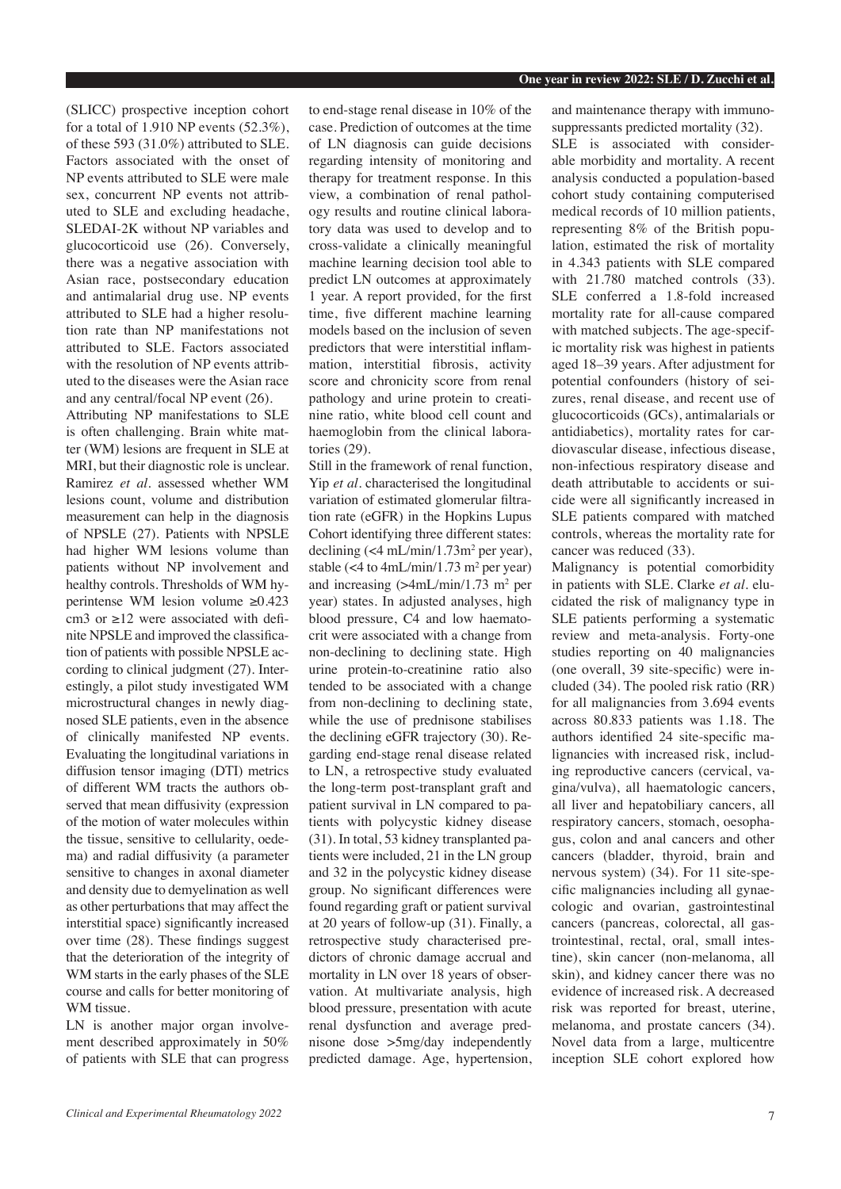(SLICC) prospective inception cohort for a total of 1.910 NP events (52.3%), of these 593 (31.0%) attributed to SLE. Factors associated with the onset of NP events attributed to SLE were male sex, concurrent NP events not attributed to SLE and excluding headache, SLEDAI-2K without NP variables and glucocorticoid use (26). Conversely, there was a negative association with Asian race, postsecondary education and antimalarial drug use. NP events attributed to SLE had a higher resolution rate than NP manifestations not attributed to SLE. Factors associated with the resolution of NP events attributed to the diseases were the Asian race and any central/focal NP event (26).

Attributing NP manifestations to SLE is often challenging. Brain white matter (WM) lesions are frequent in SLE at MRI, but their diagnostic role is unclear. Ramirez *et al*. assessed whether WM lesions count, volume and distribution measurement can help in the diagnosis of NPSLE (27). Patients with NPSLE had higher WM lesions volume than patients without NP involvement and healthy controls. Thresholds of WM hyperintense WM lesion volume ≥0.423 cm3 or  $\geq$ 12 were associated with definite NPSLE and improved the classification of patients with possible NPSLE according to clinical judgment (27). Interestingly, a pilot study investigated WM microstructural changes in newly diagnosed SLE patients, even in the absence of clinically manifested NP events. Evaluating the longitudinal variations in diffusion tensor imaging (DTI) metrics of different WM tracts the authors observed that mean diffusivity (expression of the motion of water molecules within the tissue, sensitive to cellularity, oedema) and radial diffusivity (a parameter sensitive to changes in axonal diameter and density due to demyelination as well as other perturbations that may affect the interstitial space) significantly increased over time (28). These findings suggest that the deterioration of the integrity of WM starts in the early phases of the SLE course and calls for better monitoring of WM tissue.

LN is another major organ involvement described approximately in 50% of patients with SLE that can progress to end-stage renal disease in 10% of the case. Prediction of outcomes at the time of LN diagnosis can guide decisions regarding intensity of monitoring and therapy for treatment response. In this view, a combination of renal pathology results and routine clinical laboratory data was used to develop and to cross-validate a clinically meaningful machine learning decision tool able to predict LN outcomes at approximately 1 year. A report provided, for the first time, five different machine learning models based on the inclusion of seven predictors that were interstitial inflammation, interstitial fibrosis, activity score and chronicity score from renal pathology and urine protein to creatinine ratio, white blood cell count and haemoglobin from the clinical laboratories (29).

Still in the framework of renal function, Yip *et al.* characterised the longitudinal variation of estimated glomerular filtration rate (eGFR) in the Hopkins Lupus Cohort identifying three different states: declining (<4 mL/min/1.73m2 per year), stable (<4 to  $4mL/min/1.73 m<sup>2</sup>$  per year) and increasing  $(\geq 4mL/min/1.73 \text{ m}^2 \text{ per})$ year) states. In adjusted analyses, high blood pressure, C4 and low haematocrit were associated with a change from non-declining to declining state. High urine protein-to-creatinine ratio also tended to be associated with a change from non-declining to declining state, while the use of prednisone stabilises the declining eGFR trajectory (30). Regarding end-stage renal disease related to LN, a retrospective study evaluated the long-term post-transplant graft and patient survival in LN compared to patients with polycystic kidney disease (31). In total, 53 kidney transplanted patients were included, 21 in the LN group and 32 in the polycystic kidney disease group. No significant differences were found regarding graft or patient survival at 20 years of follow-up (31). Finally, a retrospective study characterised predictors of chronic damage accrual and mortality in LN over 18 years of observation. At multivariate analysis, high blood pressure, presentation with acute renal dysfunction and average prednisone dose >5mg/day independently predicted damage. Age, hypertension,

SLE is associated with considerable morbidity and mortality. A recent analysis conducted a population-based cohort study containing computerised medical records of 10 million patients, representing 8% of the British population, estimated the risk of mortality in 4.343 patients with SLE compared with 21.780 matched controls (33). SLE conferred a 1.8-fold increased mortality rate for all-cause compared with matched subjects. The age-specific mortality risk was highest in patients aged 18–39 years. After adjustment for potential confounders (history of seizures, renal disease, and recent use of glucocorticoids (GCs), antimalarials or antidiabetics), mortality rates for cardiovascular disease, infectious disease, non-infectious respiratory disease and death attributable to accidents or suicide were all significantly increased in SLE patients compared with matched controls, whereas the mortality rate for cancer was reduced (33).

Malignancy is potential comorbidity in patients with SLE. Clarke *et al.* elucidated the risk of malignancy type in SLE patients performing a systematic review and meta-analysis. Forty-one studies reporting on 40 malignancies (one overall, 39 site-specific) were included (34). The pooled risk ratio (RR) for all malignancies from 3.694 events across 80.833 patients was 1.18. The authors identified 24 site-specific malignancies with increased risk, including reproductive cancers (cervical, vagina/vulva), all haematologic cancers, all liver and hepatobiliary cancers, all respiratory cancers, stomach, oesophagus, colon and anal cancers and other cancers (bladder, thyroid, brain and nervous system) (34). For 11 site-specific malignancies including all gynaecologic and ovarian, gastrointestinal cancers (pancreas, colorectal, all gastrointestinal, rectal, oral, small intestine), skin cancer (non-melanoma, all skin), and kidney cancer there was no evidence of increased risk. A decreased risk was reported for breast, uterine, melanoma, and prostate cancers (34). Novel data from a large, multicentre inception SLE cohort explored how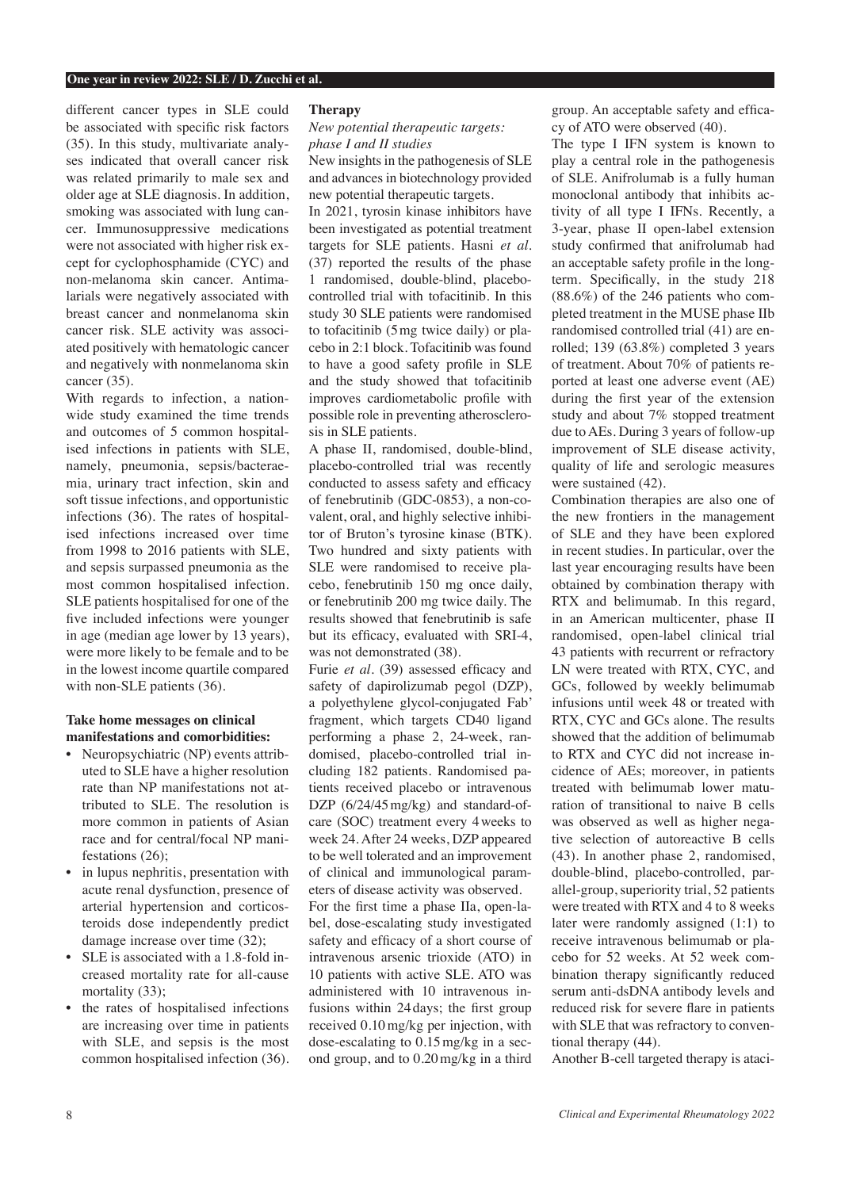different cancer types in SLE could be associated with specific risk factors (35). In this study, multivariate analyses indicated that overall cancer risk was related primarily to male sex and older age at SLE diagnosis. In addition, smoking was associated with lung cancer. Immunosuppressive medications were not associated with higher risk except for cyclophosphamide (CYC) and non-melanoma skin cancer. Antimalarials were negatively associated with breast cancer and nonmelanoma skin cancer risk. SLE activity was associated positively with hematologic cancer and negatively with nonmelanoma skin cancer (35).

With regards to infection, a nationwide study examined the time trends and outcomes of 5 common hospitalised infections in patients with SLE, namely, pneumonia, sepsis/bacteraemia, urinary tract infection, skin and soft tissue infections, and opportunistic infections (36). The rates of hospitalised infections increased over time from 1998 to 2016 patients with SLE, and sepsis surpassed pneumonia as the most common hospitalised infection. SLE patients hospitalised for one of the five included infections were younger in age (median age lower by 13 years), were more likely to be female and to be in the lowest income quartile compared with non-SLE patients (36).

## **Take home messages on clinical manifestations and comorbidities:**

- Neuropsychiatric (NP) events attributed to SLE have a higher resolution rate than NP manifestations not attributed to SLE. The resolution is more common in patients of Asian race and for central/focal NP manifestations (26);
- in lupus nephritis, presentation with acute renal dysfunction, presence of arterial hypertension and corticosteroids dose independently predict damage increase over time (32);
- SLE is associated with a 1.8-fold increased mortality rate for all-cause mortality (33);
- the rates of hospitalised infections are increasing over time in patients with SLE, and sepsis is the most common hospitalised infection (36).

#### **Therapy**

# *New potential therapeutic targets: phase I and II studies*

New insights in the pathogenesis of SLE and advances in biotechnology provided new potential therapeutic targets.

In 2021, tyrosin kinase inhibitors have been investigated as potential treatment targets for SLE patients. Hasni *et al.* (37) reported the results of the phase 1 randomised, double-blind, placebocontrolled trial with tofacitinib. In this study 30 SLE patients were randomised to tofacitinib (5mg twice daily) or placebo in 2:1 block. Tofacitinib was found to have a good safety profile in SLE and the study showed that tofacitinib improves cardiometabolic profile with possible role in preventing atherosclerosis in SLE patients.

A phase II, randomised, double-blind, placebo-controlled trial was recently conducted to assess safety and efficacy of fenebrutinib (GDC-0853), a non-covalent, oral, and highly selective inhibitor of Bruton's tyrosine kinase (BTK). Two hundred and sixty patients with SLE were randomised to receive placebo, fenebrutinib 150 mg once daily, or fenebrutinib 200 mg twice daily. The results showed that fenebrutinib is safe but its efficacy, evaluated with SRI-4, was not demonstrated (38).

Furie et al. (39) assessed efficacy and safety of dapirolizumab pegol (DZP), a polyethylene glycol-conjugated Fab' fragment, which targets CD40 ligand performing a phase 2, 24-week, randomised, placebo-controlled trial including 182 patients. Randomised patients received placebo or intravenous DZP (6/24/45 mg/kg) and standard-ofcare (SOC) treatment every 4weeks to week 24. After 24 weeks, DZP appeared to be well tolerated and an improvement of clinical and immunological parameters of disease activity was observed.

For the first time a phase IIa, open-label, dose-escalating study investigated safety and efficacy of a short course of intravenous arsenic trioxide (ATO) in 10 patients with active SLE. ATO was administered with 10 intravenous infusions within 24 days; the first group received 0.10mg/kg per injection, with dose-escalating to 0.15mg/kg in a second group, and to 0.20mg/kg in a third group. An acceptable safety and efficacy of ATO were observed (40).

The type I IFN system is known to play a central role in the pathogenesis of SLE. Anifrolumab is a fully human monoclonal antibody that inhibits activity of all type I IFNs. Recently, a 3-year, phase II open-label extension study confirmed that anifrolumab had an acceptable safety profile in the longterm. Specifically, in the study 218 (88.6%) of the 246 patients who completed treatment in the MUSE phase IIb randomised controlled trial (41) are enrolled; 139 (63.8%) completed 3 years of treatment. About 70% of patients reported at least one adverse event (AE) during the first year of the extension study and about 7% stopped treatment due to AEs. During 3 years of follow-up improvement of SLE disease activity, quality of life and serologic measures were sustained (42).

Combination therapies are also one of the new frontiers in the management of SLE and they have been explored in recent studies. In particular, over the last year encouraging results have been obtained by combination therapy with RTX and belimumab. In this regard, in an American multicenter, phase II randomised, open-label clinical trial 43 patients with recurrent or refractory LN were treated with RTX, CYC, and GCs, followed by weekly belimumab infusions until week 48 or treated with RTX, CYC and GCs alone. The results showed that the addition of belimumab to RTX and CYC did not increase incidence of AEs; moreover, in patients treated with belimumab lower maturation of transitional to naive B cells was observed as well as higher negative selection of autoreactive B cells (43). In another phase 2, randomised, double-blind, placebo-controlled, parallel-group, superiority trial, 52 patients were treated with RTX and 4 to 8 weeks later were randomly assigned (1:1) to receive intravenous belimumab or placebo for 52 weeks. At 52 week combination therapy significantly reduced serum anti-dsDNA antibody levels and reduced risk for severe flare in patients with SLE that was refractory to conventional therapy (44).

Another B-cell targeted therapy is ataci-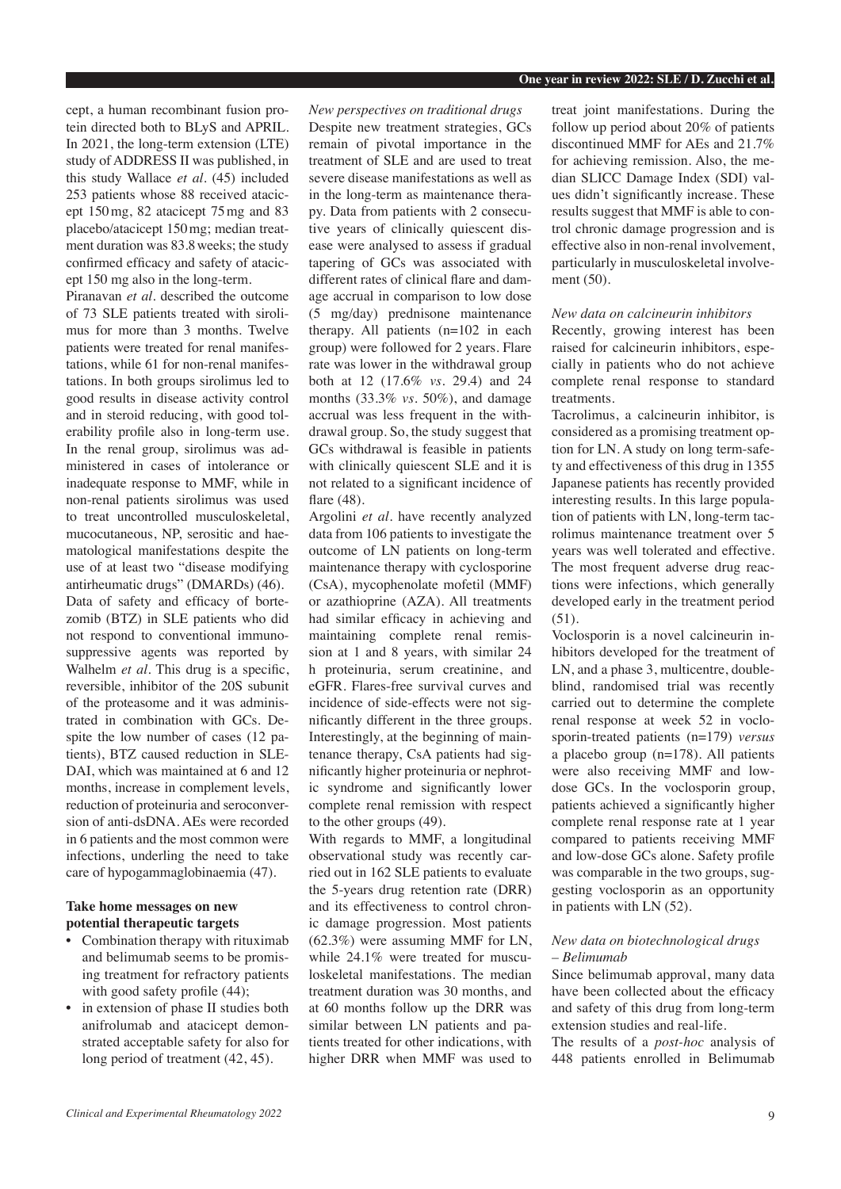cept, a human recombinant fusion protein directed both to BLyS and APRIL. In 2021, the long-term extension (LTE) study of ADDRESS II was published, in this study Wallace *et al.* (45) included 253 patients whose 88 received atacicept 150mg, 82 atacicept 75mg and 83 placebo/atacicept 150mg; median treatment duration was 83.8weeks; the study confirmed efficacy and safety of atacicept 150 mg also in the long-term.

Piranavan *et al.* described the outcome of 73 SLE patients treated with sirolimus for more than 3 months. Twelve patients were treated for renal manifestations, while 61 for non-renal manifestations. In both groups sirolimus led to good results in disease activity control and in steroid reducing, with good tolerability profile also in long-term use. In the renal group, sirolimus was administered in cases of intolerance or inadequate response to MMF, while in non-renal patients sirolimus was used to treat uncontrolled musculoskeletal, mucocutaneous, NP, serositic and haematological manifestations despite the use of at least two "disease modifying antirheumatic drugs" (DMARDs) (46). Data of safety and efficacy of bortezomib (BTZ) in SLE patients who did not respond to conventional immunosuppressive agents was reported by Walhelm *et al*. This drug is a specific, reversible, inhibitor of the 20S subunit of the proteasome and it was administrated in combination with GCs. Despite the low number of cases (12 patients), BTZ caused reduction in SLE-DAI, which was maintained at 6 and 12 months, increase in complement levels, reduction of proteinuria and seroconversion of anti-dsDNA. AEs were recorded in 6 patients and the most common were infections, underling the need to take care of hypogammaglobinaemia (47).

# **Take home messages on new potential therapeutic targets**

- Combination therapy with rituximab and belimumab seems to be promising treatment for refractory patients with good safety profile  $(44)$ ;
- in extension of phase II studies both anifrolumab and atacicept demonstrated acceptable safety for also for long period of treatment (42, 45).

*New perspectives on traditional drugs*  Despite new treatment strategies, GCs remain of pivotal importance in the treatment of SLE and are used to treat severe disease manifestations as well as in the long-term as maintenance therapy. Data from patients with 2 consecutive years of clinically quiescent disease were analysed to assess if gradual tapering of GCs was associated with different rates of clinical flare and damage accrual in comparison to low dose (5 mg/day) prednisone maintenance therapy. All patients (n=102 in each group) were followed for 2 years. Flare rate was lower in the withdrawal group both at 12 (17.6% *vs.* 29.4) and 24 months (33.3% *vs.* 50%), and damage accrual was less frequent in the withdrawal group. So, the study suggest that GCs withdrawal is feasible in patients with clinically quiescent SLE and it is not related to a significant incidence of flare (48).

Argolini *et al.* have recently analyzed data from 106 patients to investigate the outcome of LN patients on long-term maintenance therapy with cyclosporine (CsA), mycophenolate mofetil (MMF) or azathioprine (AZA). All treatments had similar efficacy in achieving and maintaining complete renal remission at 1 and 8 years, with similar 24 h proteinuria, serum creatinine, and eGFR. Flares-free survival curves and incidence of side-effects were not significantly different in the three groups. Interestingly, at the beginning of maintenance therapy, CsA patients had significantly higher proteinuria or nephrotic syndrome and significantly lower complete renal remission with respect to the other groups (49).

With regards to MMF, a longitudinal observational study was recently carried out in 162 SLE patients to evaluate the 5-years drug retention rate (DRR) and its effectiveness to control chronic damage progression. Most patients (62.3%) were assuming MMF for LN, while 24.1% were treated for musculoskeletal manifestations. The median treatment duration was 30 months, and at 60 months follow up the DRR was similar between LN patients and patients treated for other indications, with higher DRR when MMF was used to

treat joint manifestations. During the follow up period about 20% of patients discontinued MMF for AEs and 21.7% for achieving remission. Also, the median SLICC Damage Index (SDI) values didn't significantly increase. These results suggest that MMF is able to control chronic damage progression and is effective also in non-renal involvement, particularly in musculoskeletal involvement (50).

#### *New data on calcineurin inhibitors*

Recently, growing interest has been raised for calcineurin inhibitors, especially in patients who do not achieve complete renal response to standard treatments.

Tacrolimus, a calcineurin inhibitor, is considered as a promising treatment option for LN. A study on long term-safety and effectiveness of this drug in 1355 Japanese patients has recently provided interesting results. In this large population of patients with LN, long-term tacrolimus maintenance treatment over 5 years was well tolerated and effective. The most frequent adverse drug reactions were infections, which generally developed early in the treatment period (51).

Voclosporin is a novel calcineurin inhibitors developed for the treatment of LN, and a phase 3, multicentre, doubleblind, randomised trial was recently carried out to determine the complete renal response at week 52 in voclosporin-treated patients (n=179) *versus*  a placebo group (n=178). All patients were also receiving MMF and lowdose GCs. In the voclosporin group, patients achieved a significantly higher complete renal response rate at 1 year compared to patients receiving MMF and low-dose GCs alone. Safety profile was comparable in the two groups, suggesting voclosporin as an opportunity in patients with LN (52).

# *New data on biotechnological drugs – Belimumab*

Since belimumab approval, many data have been collected about the efficacy and safety of this drug from long-term extension studies and real-life.

The results of a *post-hoc* analysis of 448 patients enrolled in Belimumab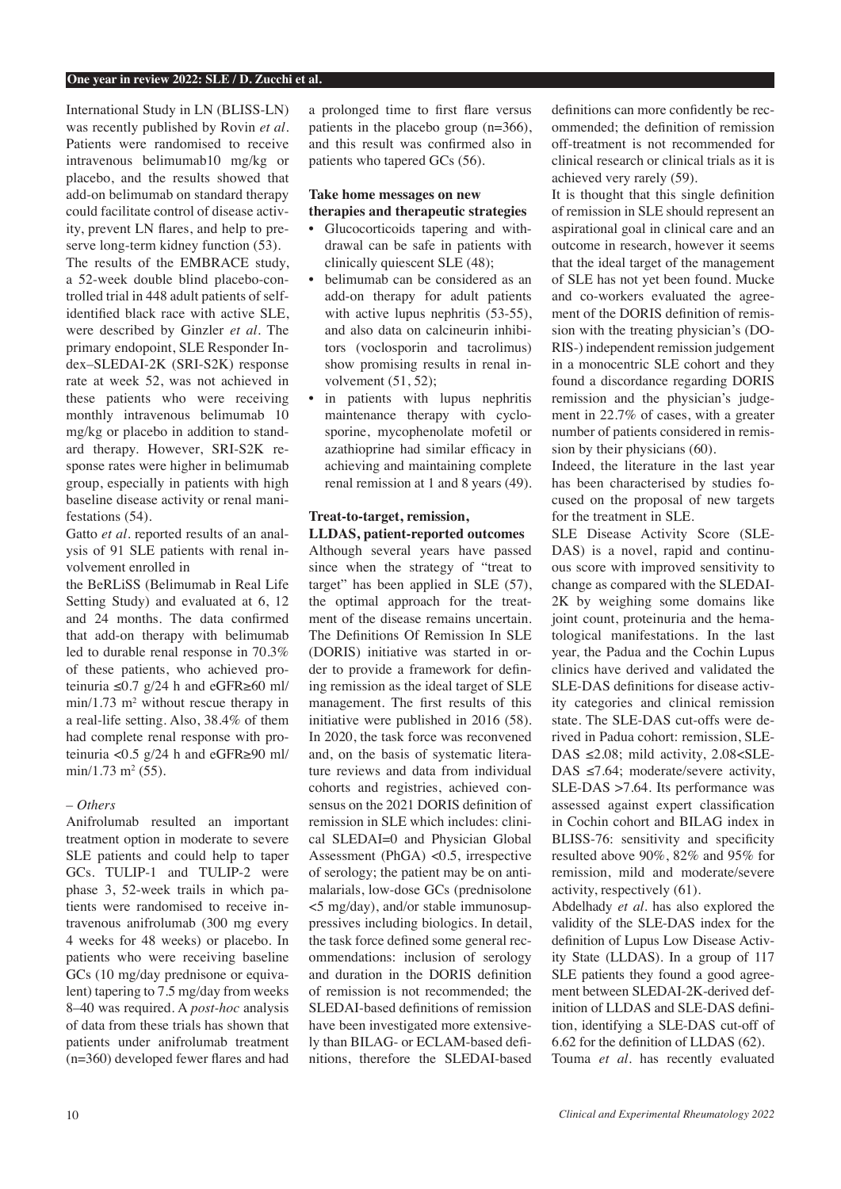International Study in LN (BLISS-LN) was recently published by Rovin *et al.* Patients were randomised to receive intravenous belimumab10 mg/kg or placebo, and the results showed that add-on belimumab on standard therapy could facilitate control of disease activity, prevent LN flares, and help to preserve long-term kidney function (53). The results of the EMBRACE study, a 52-week double blind placebo-controlled trial in 448 adult patients of selfidentified black race with active SLE, were described by Ginzler *et al.* The primary endopoint, SLE Responder Index–SLEDAI-2K (SRI-S2K) response rate at week 52, was not achieved in these patients who were receiving monthly intravenous belimumab 10 mg/kg or placebo in addition to standard therapy. However, SRI-S2K response rates were higher in belimumab group, especially in patients with high baseline disease activity or renal manifestations (54).

Gatto *et al.* reported results of an analysis of 91 SLE patients with renal involvement enrolled in

the BeRLiSS (Belimumab in Real Life Setting Study) and evaluated at 6, 12 and 24 months. The data confirmed that add-on therapy with belimumab led to durable renal response in 70.3% of these patients, who achieved proteinuria ≤0.7 g/24 h and eGFR≥60 ml/  $min/1.73$   $m<sup>2</sup>$  without rescue therapy in a real-life setting. Also, 38.4% of them had complete renal response with proteinuria <0.5 g/24 h and eGFR≥90 ml/  $min/1.73$   $m<sup>2</sup>$  (55).

## *– Others*

Anifrolumab resulted an important treatment option in moderate to severe SLE patients and could help to taper GCs. TULIP-1 and TULIP-2 were phase 3, 52-week trails in which patients were randomised to receive intravenous anifrolumab (300 mg every 4 weeks for 48 weeks) or placebo. In patients who were receiving baseline GCs (10 mg/day prednisone or equivalent) tapering to 7.5 mg/day from weeks 8–40 was required. A *post-hoc* analysis of data from these trials has shown that patients under anifrolumab treatment (n=360) developed fewer flares and had

a prolonged time to first flare versus patients in the placebo group (n=366), and this result was confirmed also in patients who tapered GCs (56).

## **Take home messages on new therapies and therapeutic strategies**

- Glucocorticoids tapering and withdrawal can be safe in patients with clinically quiescent SLE (48);
- belimumab can be considered as an add-on therapy for adult patients with active lupus nephritis (53-55). and also data on calcineurin inhibitors (voclosporin and tacrolimus) show promising results in renal involvement (51, 52);
- in patients with lupus nephritis maintenance therapy with cyclosporine, mycophenolate mofetil or azathioprine had similar efficacy in achieving and maintaining complete renal remission at 1 and 8 years (49).

## **Treat-to-target, remission, LLDAS, patient-reported outcomes**

Although several years have passed since when the strategy of "treat to target" has been applied in SLE (57), the optimal approach for the treatment of the disease remains uncertain. The Definitions Of Remission In SLE (DORIS) initiative was started in order to provide a framework for defining remission as the ideal target of SLE management. The first results of this initiative were published in 2016 (58). In 2020, the task force was reconvened and, on the basis of systematic literature reviews and data from individual cohorts and registries, achieved consensus on the 2021 DORIS definition of remission in SLE which includes: clinical SLEDAI=0 and Physician Global Assessment (PhGA) <0.5, irrespective of serology; the patient may be on antimalarials, low-dose GCs (prednisolone <5 mg/day), and/or stable immunosuppressives including biologics. In detail, the task force defined some general recommendations: inclusion of serology and duration in the DORIS definition of remission is not recommended; the SLEDAI-based definitions of remission have been investigated more extensively than BILAG- or ECLAM-based definitions, therefore the SLEDAI-based definitions can more confidently be recommended; the definition of remission off-treatment is not recommended for clinical research or clinical trials as it is achieved very rarely (59).

It is thought that this single definition of remission in SLE should represent an aspirational goal in clinical care and an outcome in research, however it seems that the ideal target of the management of SLE has not yet been found. Mucke and co-workers evaluated the agreement of the DORIS definition of remission with the treating physician's (DO-RIS-) independent remission judgement in a monocentric SLE cohort and they found a discordance regarding DORIS remission and the physician's judgement in 22.7% of cases, with a greater number of patients considered in remission by their physicians (60).

Indeed, the literature in the last year has been characterised by studies focused on the proposal of new targets for the treatment in SLE.

SLE Disease Activity Score (SLE-DAS) is a novel, rapid and continuous score with improved sensitivity to change as compared with the SLEDAI-2K by weighing some domains like joint count, proteinuria and the hematological manifestations. In the last year, the Padua and the Cochin Lupus clinics have derived and validated the SLE-DAS definitions for disease activity categories and clinical remission state. The SLE-DAS cut-offs were derived in Padua cohort: remission, SLE-DAS  $\leq$ 2.08; mild activity, 2.08 $\leq$ SLE-DAS  $\leq$ 7.64; moderate/severe activity, SLE-DAS >7.64. Its performance was assessed against expert classification in Cochin cohort and BILAG index in BLISS-76: sensitivity and specificity resulted above 90%, 82% and 95% for remission, mild and moderate/severe activity, respectively (61).

Abdelhady *et al.* has also explored the validity of the SLE-DAS index for the definition of Lupus Low Disease Activity State (LLDAS). In a group of 117 SLE patients they found a good agreement between SLEDAI-2K-derived definition of LLDAS and SLE-DAS definition, identifying a SLE-DAS cut-off of 6.62 for the definition of LLDAS (62). Touma *et al.* has recently evaluated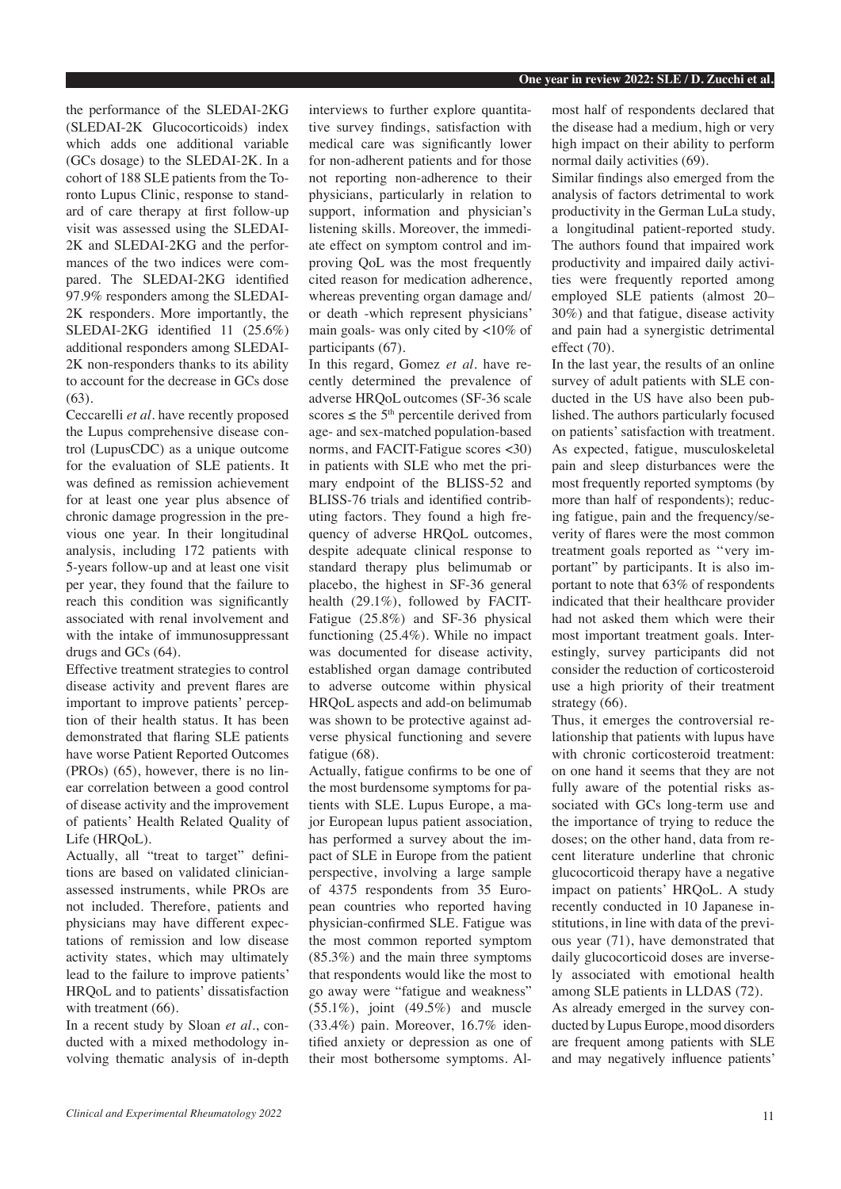the performance of the SLEDAI-2KG (SLEDAI-2K Glucocorticoids) index which adds one additional variable (GCs dosage) to the SLEDAI-2K. In a cohort of 188 SLE patients from the Toronto Lupus Clinic, response to standard of care therapy at first follow-up visit was assessed using the SLEDAI-2K and SLEDAI-2KG and the performances of the two indices were compared. The SLEDAI-2KG identified 97.9% responders among the SLEDAI-2K responders. More importantly, the SLEDAI-2KG identified 11 (25.6%) additional responders among SLEDAI-2K non-responders thanks to its ability to account for the decrease in GCs dose  $(63)$ 

Ceccarelli *et al.* have recently proposed the Lupus comprehensive disease control (LupusCDC) as a unique outcome for the evaluation of SLE patients. It was defined as remission achievement for at least one year plus absence of chronic damage progression in the previous one year. In their longitudinal analysis, including 172 patients with 5-years follow-up and at least one visit per year, they found that the failure to reach this condition was significantly associated with renal involvement and with the intake of immunosuppressant drugs and GCs (64).

Effective treatment strategies to control disease activity and prevent flares are important to improve patients' perception of their health status. It has been demonstrated that flaring SLE patients have worse Patient Reported Outcomes (PROs) (65), however, there is no linear correlation between a good control of disease activity and the improvement of patients' Health Related Quality of Life (HRQoL).

Actually, all "treat to target" definitions are based on validated clinicianassessed instruments, while PROs are not included. Therefore, patients and physicians may have different expectations of remission and low disease activity states, which may ultimately lead to the failure to improve patients' HRQoL and to patients' dissatisfaction with treatment (66).

In a recent study by Sloan *et al*., conducted with a mixed methodology involving thematic analysis of in-depth interviews to further explore quantitative survey findings, satisfaction with medical care was significantly lower for non-adherent patients and for those not reporting non-adherence to their physicians, particularly in relation to support, information and physician's listening skills. Moreover, the immediate effect on symptom control and improving QoL was the most frequently cited reason for medication adherence, whereas preventing organ damage and/ or death -which represent physicians' main goals- was only cited by <10% of participants (67).

In this regard, Gomez *et al.* have recently determined the prevalence of adverse HRQoL outcomes (SF-36 scale scores  $\leq$  the 5<sup>th</sup> percentile derived from age- and sex-matched population-based norms, and FACIT-Fatigue scores <30) in patients with SLE who met the primary endpoint of the BLISS-52 and BLISS-76 trials and identified contributing factors. They found a high frequency of adverse HRQoL outcomes, despite adequate clinical response to standard therapy plus belimumab or placebo, the highest in SF-36 general health (29.1%), followed by FACIT-Fatigue (25.8%) and SF-36 physical functioning (25.4%). While no impact was documented for disease activity, established organ damage contributed to adverse outcome within physical HRQoL aspects and add-on belimumab was shown to be protective against adverse physical functioning and severe fatigue (68).

Actually, fatigue confirms to be one of the most burdensome symptoms for patients with SLE. Lupus Europe, a major European lupus patient association, has performed a survey about the impact of SLE in Europe from the patient perspective, involving a large sample of 4375 respondents from 35 European countries who reported having physician-confirmed SLE. Fatigue was the most common reported symptom (85.3%) and the main three symptoms that respondents would like the most to go away were "fatigue and weakness" (55.1%), joint (49.5%) and muscle (33.4%) pain. Moreover, 16.7% identified anxiety or depression as one of their most bothersome symptoms. Al-

most half of respondents declared that the disease had a medium, high or very high impact on their ability to perform normal daily activities (69).

Similar findings also emerged from the analysis of factors detrimental to work productivity in the German LuLa study, a longitudinal patient-reported study. The authors found that impaired work productivity and impaired daily activities were frequently reported among employed SLE patients (almost 20– 30%) and that fatigue, disease activity and pain had a synergistic detrimental effect (70).

In the last year, the results of an online survey of adult patients with SLE conducted in the US have also been published. The authors particularly focused on patients' satisfaction with treatment. As expected, fatigue, musculoskeletal pain and sleep disturbances were the most frequently reported symptoms (by more than half of respondents); reducing fatigue, pain and the frequency/severity of flares were the most common treatment goals reported as ''very important" by participants. It is also important to note that 63% of respondents indicated that their healthcare provider had not asked them which were their most important treatment goals. Interestingly, survey participants did not consider the reduction of corticosteroid use a high priority of their treatment strategy  $(66)$ .

Thus, it emerges the controversial relationship that patients with lupus have with chronic corticosteroid treatment: on one hand it seems that they are not fully aware of the potential risks associated with GCs long-term use and the importance of trying to reduce the doses; on the other hand, data from recent literature underline that chronic glucocorticoid therapy have a negative impact on patients' HRQoL. A study recently conducted in 10 Japanese institutions, in line with data of the previous year (71), have demonstrated that daily glucocorticoid doses are inversely associated with emotional health among SLE patients in LLDAS (72). As already emerged in the survey conducted by Lupus Europe, mood disorders are frequent among patients with SLE and may negatively influence patients'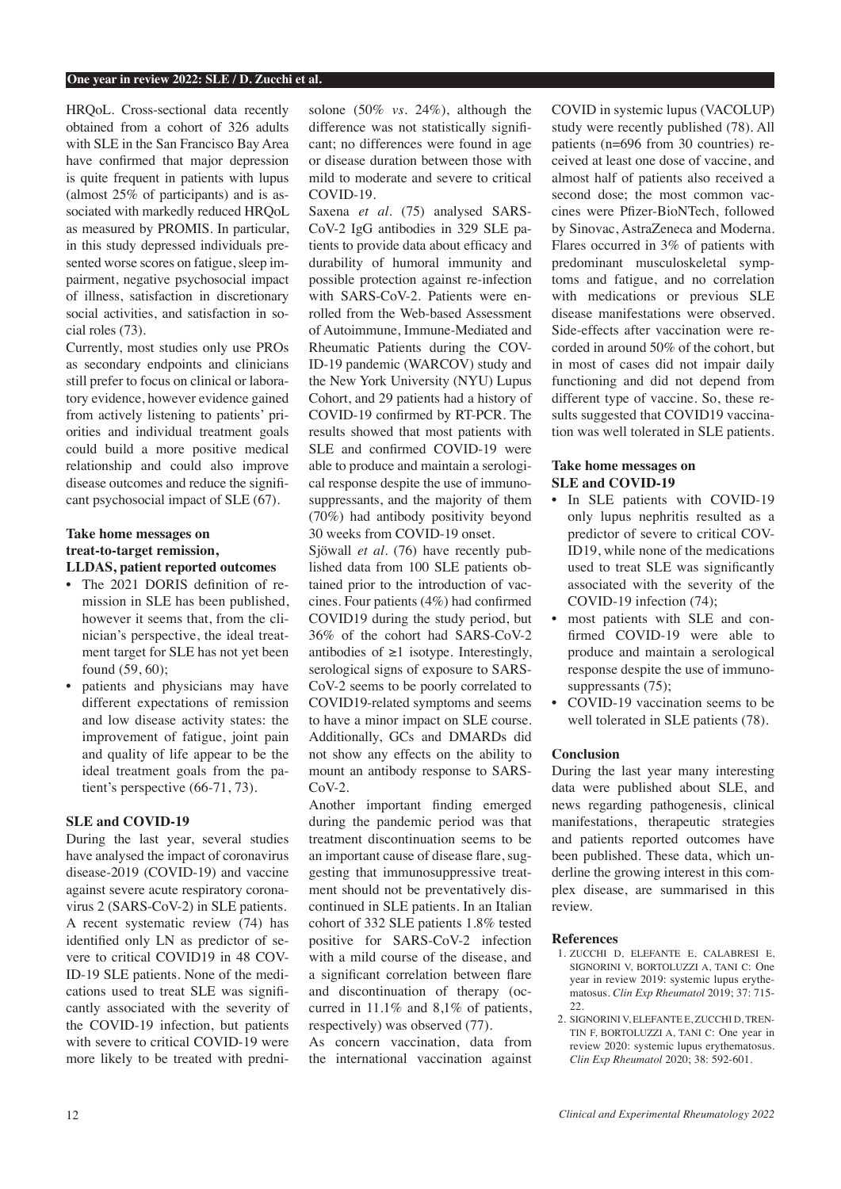HRQoL. Cross-sectional data recently obtained from a cohort of 326 adults with SLE in the San Francisco Bay Area have confirmed that major depression is quite frequent in patients with lupus (almost 25% of participants) and is associated with markedly reduced HRQoL as measured by PROMIS. In particular, in this study depressed individuals presented worse scores on fatigue, sleep impairment, negative psychosocial impact of illness, satisfaction in discretionary social activities, and satisfaction in social roles (73).

Currently, most studies only use PROs as secondary endpoints and clinicians still prefer to focus on clinical or laboratory evidence, however evidence gained from actively listening to patients' priorities and individual treatment goals could build a more positive medical relationship and could also improve disease outcomes and reduce the significant psychosocial impact of SLE (67).

## **Take home messages on treat-to-target remission, LLDAS, patient reported outcomes**

- The 2021 DORIS definition of remission in SLE has been published, however it seems that, from the clinician's perspective, the ideal treatment target for SLE has not yet been found (59, 60);
- patients and physicians may have different expectations of remission and low disease activity states: the improvement of fatigue, joint pain and quality of life appear to be the ideal treatment goals from the patient's perspective (66-71, 73).

## **SLE and COVID-19**

During the last year, several studies have analysed the impact of coronavirus disease-2019 (COVID-19) and vaccine against severe acute respiratory coronavirus 2 (SARS-CoV-2) in SLE patients. A recent systematic review (74) has identified only LN as predictor of severe to critical COVID19 in 48 COV-ID-19 SLE patients. None of the medications used to treat SLE was significantly associated with the severity of the COVID-19 infection, but patients with severe to critical COVID-19 were more likely to be treated with prednisolone (50% *vs.* 24%), although the difference was not statistically significant; no differences were found in age or disease duration between those with mild to moderate and severe to critical COVID-19.

Saxena *et al*. (75) analysed SARS-CoV-2 IgG antibodies in 329 SLE patients to provide data about efficacy and durability of humoral immunity and possible protection against re-infection with SARS-CoV-2. Patients were enrolled from the Web-based Assessment of Autoimmune, Immune-Mediated and Rheumatic Patients during the COV-ID-19 pandemic (WARCOV) study and the New York University (NYU) Lupus Cohort, and 29 patients had a history of COVID-19 confirmed by RT-PCR. The results showed that most patients with SLE and confirmed COVID-19 were able to produce and maintain a serological response despite the use of immunosuppressants, and the majority of them (70%) had antibody positivity beyond 30 weeks from COVID-19 onset.

Sjöwall *et al.* (76) have recently published data from 100 SLE patients obtained prior to the introduction of vaccines. Four patients (4%) had confirmed COVID19 during the study period, but 36% of the cohort had SARS-CoV-2 antibodies of  $≥1$  isotype. Interestingly, serological signs of exposure to SARS-CoV-2 seems to be poorly correlated to COVID19-related symptoms and seems to have a minor impact on SLE course. Additionally, GCs and DMARDs did not show any effects on the ability to mount an antibody response to SARS- $CoV-2$ .

Another important finding emerged during the pandemic period was that treatment discontinuation seems to be an important cause of disease flare, suggesting that immunosuppressive treatment should not be preventatively discontinued in SLE patients. In an Italian cohort of 332 SLE patients 1.8% tested positive for SARS-CoV-2 infection with a mild course of the disease, and a significant correlation between flare and discontinuation of therapy (occurred in 11.1% and 8,1% of patients, respectively) was observed (77).

As concern vaccination, data from the international vaccination against COVID in systemic lupus (VACOLUP) study were recently published (78). All patients (n=696 from 30 countries) received at least one dose of vaccine, and almost half of patients also received a second dose; the most common vaccines were Pfizer-BioNTech, followed by Sinovac, AstraZeneca and Moderna. Flares occurred in 3% of patients with predominant musculoskeletal symptoms and fatigue, and no correlation with medications or previous SLE disease manifestations were observed. Side-effects after vaccination were recorded in around 50% of the cohort, but in most of cases did not impair daily functioning and did not depend from different type of vaccine. So, these results suggested that COVID19 vaccination was well tolerated in SLE patients.

## **Take home messages on SLE and COVID-19**

- In SLE patients with COVID-19 only lupus nephritis resulted as a predictor of severe to critical COV-ID19, while none of the medications used to treat SLE was significantly associated with the severity of the COVID-19 infection (74);
- most patients with SLE and confirmed COVID-19 were able to produce and maintain a serological response despite the use of immunosuppressants (75);
- COVID-19 vaccination seems to be well tolerated in SLE patients (78).

## **Conclusion**

During the last year many interesting data were published about SLE, and news regarding pathogenesis, clinical manifestations, therapeutic strategies and patients reported outcomes have been published. These data, which underline the growing interest in this complex disease, are summarised in this review.

## **References**

- 1. ZUCCHI D, ELEFANTE E, CALABRESI E, SIGNORINI V, BORTOLUZZI A, TANI C: One year in review 2019: systemic lupus erythematosus. *Clin Exp Rheumatol* 2019; 37: 715- 22.
- 2. SIGNORINI V, ELEFANTE E, ZUCCHI D, TREN-TIN F, BORTOLUZZI A, TANI C: One year in review 2020: systemic lupus erythematosus. *Clin Exp Rheumatol* 2020; 38: 592-601.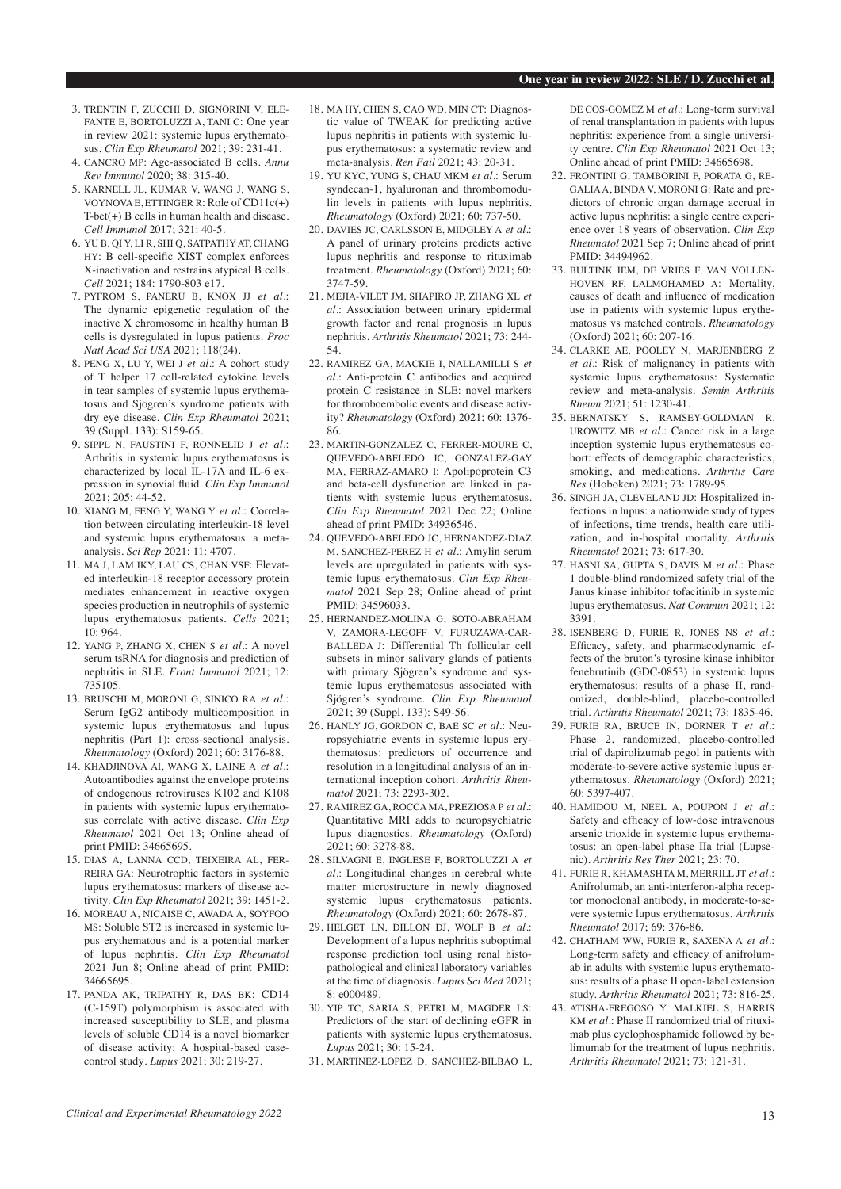- 3. TRENTIN F, ZUCCHI D, SIGNORINI V, ELE-FANTE E, BORTOLUZZI A, TANI C: One year in review 2021: systemic lupus erythematosus*. Clin Exp Rheumatol* 2021; 39: 231-41.
- 4. CANCRO MP: Age-associated B cells. *Annu Rev Immunol* 2020; 38: 315-40.
- 5. KARNELL JL, KUMAR V, WANG J, WANG S, VOYNOVA E, ETTINGER R: Role of CD11c(+) T-bet(+) B cells in human health and disease. *Cell Immunol* 2017; 321: 40-5.
- 6. YU B, QI Y, LI R, SHI Q, SATPATHY AT, CHANG HY: B cell-specific XIST complex enforces X-inactivation and restrains atypical B cells. *Cell* 2021; 184: 1790-803 e17.
- 7. PYFROM S, PANERU B, KNOX JJ *et al.*: The dynamic epigenetic regulation of the inactive X chromosome in healthy human B cells is dysregulated in lupus patients. *Proc Natl Acad Sci USA* 2021; 118(24).
- 8. PENG X, LU Y, WEI J *et al.*: A cohort study of T helper 17 cell-related cytokine levels in tear samples of systemic lupus erythematosus and Sjogren's syndrome patients with dry eye disease. *Clin Exp Rheumatol* 2021; 39 (Suppl. 133): S159-65.
- 9. SIPPL N, FAUSTINI F, RONNELID J *et al.*: Arthritis in systemic lupus erythematosus is characterized by local IL-17A and IL-6 expression in synovial fluid. *Clin Exp Immunol* 2021; 205: 44-52.
- 10. XIANG M, FENG Y, WANG Y *et al.*: Correlation between circulating interleukin-18 level and systemic lupus erythematosus: a metaanalysis. *Sci Rep* 2021; 11: 4707.
- 11. MA J, LAM IKY, LAU CS, CHAN VSF: Elevated interleukin-18 receptor accessory protein mediates enhancement in reactive oxygen species production in neutrophils of systemic lupus erythematosus patients. *Cells* 2021;  $10:964.$
- 12. YANG P, ZHANG X, CHEN S *et al.*: A novel serum tsRNA for diagnosis and prediction of nephritis in SLE. *Front Immunol* 2021; 12: 735105.
- 13. BRUSCHI M, MORONI G, SINICO RA *et al.*: Serum IgG2 antibody multicomposition in systemic lupus erythematosus and lupus nephritis (Part 1): cross-sectional analysis. *Rheumatology* (Oxford) 2021; 60: 3176-88.
- 14. KHADJINOVA AI, WANG X, LAINE A *et al.*: Autoantibodies against the envelope proteins of endogenous retroviruses K102 and K108 in patients with systemic lupus erythematosus correlate with active disease. *Clin Exp Rheumatol* 2021 Oct 13; Online ahead of print PMID: 34665695.
- 15. DIAS A, LANNA CCD, TEIXEIRA AL, FER-REIRA GA: Neurotrophic factors in systemic lupus erythematosus: markers of disease activity. *Clin Exp Rheumatol* 2021; 39: 1451-2.
- 16. MOREAU A, NICAISE C, AWADA A, SOYFOO MS: Soluble ST2 is increased in systemic lupus erythematous and is a potential marker of lupus nephritis. *Clin Exp Rheumatol*  2021 Jun 8; Online ahead of print PMID: 34665695.
- 17. PANDA AK, TRIPATHY R, DAS BK: CD14 (C-159T) polymorphism is associated with increased susceptibility to SLE, and plasma levels of soluble CD14 is a novel biomarker of disease activity: A hospital-based casecontrol study*. Lupus* 2021; 30: 219-27.
- 18. MA HY, CHEN S, CAO WD, MIN CT: Diagnostic value of TWEAK for predicting active lupus nephritis in patients with systemic lupus erythematosus: a systematic review and meta-analysis. *Ren Fail* 2021; 43: 20-31.
- 19. YU KYC, YUNG S, CHAU MKM *et al.*: Serum syndecan-1, hyaluronan and thrombomodulin levels in patients with lupus nephritis. *Rheumatology* (Oxford) 2021; 60: 737-50.
- 20. DAVIES JC, CARLSSON E, MIDGLEY A *et al.*: A panel of urinary proteins predicts active lupus nephritis and response to rituximab treatment. *Rheumatology* (Oxford) 2021; 60: 3747-59.
- 21. MEJIA-VILET JM, SHAPIRO JP, ZHANG XL *et al.*: Association between urinary epidermal growth factor and renal prognosis in lupus nephritis. *Arthritis Rheumatol* 2021; 73: 244- 54.
- 22. RAMIREZ GA, MACKIE I, NALLAMILLI S *et al.*: Anti-protein C antibodies and acquired protein C resistance in SLE: novel markers for thromboembolic events and disease activity? *Rheumatology* (Oxford) 2021; 60: 1376- 86.
- 23. MARTIN-GONZALEZ C, FERRER-MOURE C, QUEVEDO-ABELEDO JC, GONZALEZ-GAY MA, FERRAZ-AMARO I: Apolipoprotein C3 and beta-cell dysfunction are linked in patients with systemic lupus erythematosus. *Clin Exp Rheumatol* 2021 Dec 22; Online ahead of print PMID: 34936546.
- 24. QUEVEDO-ABELEDO JC, HERNANDEZ-DIAZ M, SANCHEZ-PEREZ H *et al.*: Amylin serum levels are upregulated in patients with systemic lupus erythematosus. *Clin Exp Rheumatol* 2021 Sep 28; Online ahead of print PMID: 34596033.
- 25. HERNANDEZ-MOLINA G, SOTO-ABRAHAM V, ZAMORA-LEGOFF V, FURUZAWA-CAR-BALLEDA J: Differential Th follicular cell subsets in minor salivary glands of patients with primary Sjögren's syndrome and systemic lupus erythematosus associated with Sjögren's syndrome. *Clin Exp Rheumatol* 2021; 39 (Suppl. 133): S49-56.
- 26. HANLY JG, GORDON C, BAE SC *et al.*: Neuropsychiatric events in systemic lupus erythematosus: predictors of occurrence and resolution in a longitudinal analysis of an international inception cohort. *Arthritis Rheumatol* 2021; 73: 2293-302.
- 27. RAMIREZ GA, ROCCA MA, PREZIOSA P *et al.*: Quantitative MRI adds to neuropsychiatric lupus diagnostics. *Rheumatology* (Oxford)  $2021:60:3278-88.$
- 28. SILVAGNI E, INGLESE F, BORTOLUZZI A *et al.*: Longitudinal changes in cerebral white matter microstructure in newly diagnosed systemic lupus erythematosus patients. *Rheumatology* (Oxford) 2021; 60: 2678-87.
- 29. HELGET LN, DILLON DJ, WOLF B *et al.*: Development of a lupus nephritis suboptimal response prediction tool using renal histopathological and clinical laboratory variables at the time of diagnosis. *Lupus Sci Med* 2021; 8: e000489.
- 30. YIP TC, SARIA S, PETRI M, MAGDER LS: Predictors of the start of declining eGFR in patients with systemic lupus erythematosus. *Lupus* 2021; 30: 15-24.
- 31. MARTINEZ-LOPEZ D, SANCHEZ-BILBAO L,

DE COS-GOMEZ M *et al.*: Long-term survival of renal transplantation in patients with lupus nephritis: experience from a single university centre. *Clin Exp Rheumatol* 2021 Oct 13; Online ahead of print PMID: 34665698.

- 32. FRONTINI G, TAMBORINI F, PORATA G, RE-GALIA A, BINDA V, MORONI G: Rate and predictors of chronic organ damage accrual in active lupus nephritis: a single centre experience over 18 years of observation. *Clin Exp Rheumatol* 2021 Sep 7; Online ahead of print PMID: 34494962.
- 33. BULTINK IEM, DE VRIES F, VAN VOLLEN-HOVEN RF, LALMOHAMED A: Mortality, causes of death and influence of medication use in patients with systemic lupus erythematosus vs matched controls. *Rheumatology* (Oxford) 2021; 60: 207-16.
- 34. CLARKE AE, POOLEY N, MARJENBERG Z *et al*.: Risk of malignancy in patients with systemic lupus erythematosus: Systematic review and meta-analysis. *Semin Arthritis Rheum* 2021; 51: 1230-41.
- 35. BERNATSKY S, RAMSEY-GOLDMAN R UROWITZ MB *et al*.: Cancer risk in a large inception systemic lupus erythematosus cohort: effects of demographic characteristics, smoking, and medications. *Arthritis Care Res* (Hoboken) 2021; 73: 1789-95.
- 36. SINGH JA, CLEVELAND JD: Hospitalized infections in lupus: a nationwide study of types of infections, time trends, health care utilization, and in-hospital mortality. *Arthritis Rheumatol* 2021; 73: 617-30.
- 37. HASNI SA, GUPTA S, DAVIS M *et al*.: Phase 1 double-blind randomized safety trial of the Janus kinase inhibitor tofacitinib in systemic lupus erythematosus*. Nat Commun* 2021; 12: 3391.
- 38. ISENBERG D, FURIE R, JONES NS *et al*.: Efficacy, safety, and pharmacodynamic effects of the bruton's tyrosine kinase inhibitor fenebrutinib (GDC-0853) in systemic lupus erythematosus: results of a phase II, randomized, double-blind, placebo-controlled trial. *Arthritis Rheumatol* 2021; 73: 1835-46.
- 39. FURIE RA, BRUCE IN, DORNER T *et al*.: Phase 2, randomized, placebo-controlled trial of dapirolizumab pegol in patients with moderate-to-severe active systemic lupus erythematosus. *Rheumatology* (Oxford) 2021; 60: 5397-407.
- 40. HAMIDOU M, NEEL A, POUPON J *et al*.: Safety and efficacy of low-dose intravenous arsenic trioxide in systemic lupus erythematosus: an open-label phase IIa trial (Lupsenic). *Arthritis Res Ther* 2021; 23: 70.
- 41. FURIE R, KHAMASHTA M, MERRILL JT *et al*.: Anifrolumab, an anti-interferon-alpha receptor monoclonal antibody, in moderate-to-severe systemic lupus erythematosus. *Arthritis Rheumatol* 2017; 69: 376-86.
- 42. CHATHAM WW, FURIE R, SAXENA A *et al*.: Long-term safety and efficacy of anifrolumab in adults with systemic lupus erythematosus: results of a phase II open-label extension study. *Arthritis Rheumatol* 2021; 73: 816-25.
- 43. ATISHA-FREGOSO Y, MALKIEL S, HARRIS KM *et al*.: Phase II randomized trial of rituximab plus cyclophosphamide followed by belimumab for the treatment of lupus nephritis. *Arthritis Rheumatol* 2021; 73: 121-31.